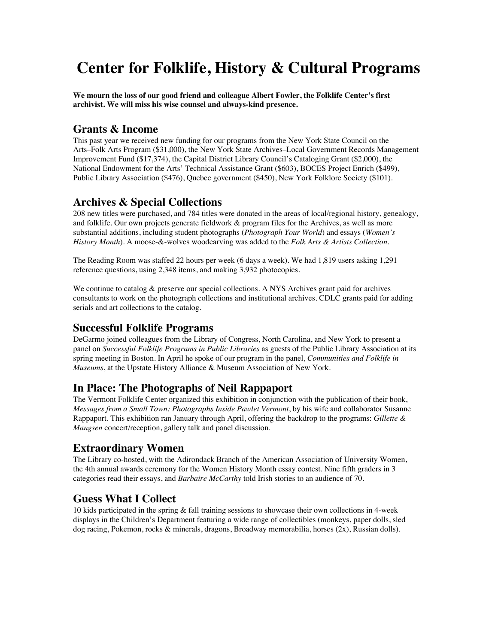# **Center for Folklife, History & Cultural Programs**

**We mourn the loss of our good friend and colleague Albert Fowler, the Folklife Center's first archivist. We will miss his wise counsel and always-kind presence.**

# **Grants & Income**

This past year we received new funding for our programs from the New York State Council on the Arts–Folk Arts Program (\$31,000), the New York State Archives–Local Government Records Management Improvement Fund (\$17,374), the Capital District Library Council's Cataloging Grant (\$2,000), the National Endowment for the Arts' Technical Assistance Grant (\$603), BOCES Project Enrich (\$499), Public Library Association (\$476), Quebec government (\$450), New York Folklore Society (\$101).

### **Archives & Special Collections**

208 new titles were purchased, and 784 titles were donated in the areas of local/regional history, genealogy, and folklife. Our own projects generate fieldwork & program files for the Archives, as well as more substantial additions, including student photographs (*Photograph Your World*) and essays (*Women's History Month*). A moose-&-wolves woodcarving was added to the *Folk Arts & Artists Collection*.

The Reading Room was staffed 22 hours per week (6 days a week). We had 1,819 users asking 1,291 reference questions, using 2,348 items, and making 3,932 photocopies.

We continue to catalog & preserve our special collections. A NYS Archives grant paid for archives consultants to work on the photograph collections and institutional archives. CDLC grants paid for adding serials and art collections to the catalog.

## **Successful Folklife Programs**

DeGarmo joined colleagues from the Library of Congress, North Carolina, and New York to present a panel on *Successful Folklife Programs in Public Libraries* as guests of the Public Library Association at its spring meeting in Boston. In April he spoke of our program in the panel, *Communities and Folklife in Museums*, at the Upstate History Alliance & Museum Association of New York.

#### **In Place: The Photographs of Neil Rappaport**

The Vermont Folklife Center organized this exhibition in conjunction with the publication of their book, *Messages from a Small Town: Photographs Inside Pawlet Vermont*, by his wife and collaborator Susanne Rappaport. This exhibition ran January through April, offering the backdrop to the programs: *Gillette & Mangsen* concert/reception, gallery talk and panel discussion.

# **Extraordinary Women**

The Library co-hosted, with the Adirondack Branch of the American Association of University Women, the 4th annual awards ceremony for the Women History Month essay contest. Nine fifth graders in 3 categories read their essays, and *Barbaire McCarthy* told Irish stories to an audience of 70.

# **Guess What I Collect**

10 kids participated in the spring & fall training sessions to showcase their own collections in 4-week displays in the Children's Department featuring a wide range of collectibles (monkeys, paper dolls, sled dog racing, Pokemon, rocks & minerals, dragons, Broadway memorabilia, horses (2x), Russian dolls).